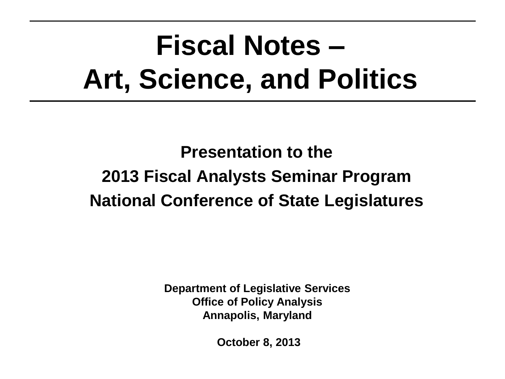# **Fiscal Notes – Art, Science, and Politics**

**Presentation to the 2013 Fiscal Analysts Seminar Program National Conference of State Legislatures**

> **Department of Legislative Services Office of Policy Analysis Annapolis, Maryland**

> > **October 8, 2013**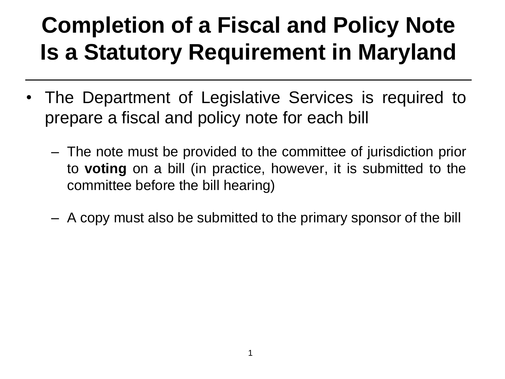### **Completion of a Fiscal and Policy Note Is a Statutory Requirement in Maryland**

- The Department of Legislative Services is required to prepare a fiscal and policy note for each bill
	- The note must be provided to the committee of jurisdiction prior to **voting** on a bill (in practice, however, it is submitted to the committee before the bill hearing)
	- A copy must also be submitted to the primary sponsor of the bill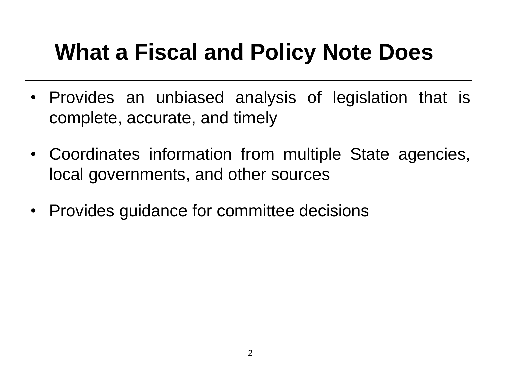### **What a Fiscal and Policy Note Does**

- Provides an unbiased analysis of legislation that is complete, accurate, and timely
- Coordinates information from multiple State agencies, local governments, and other sources
- Provides guidance for committee decisions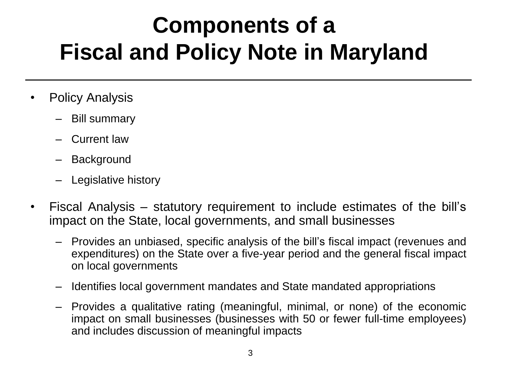### **Components of a Fiscal and Policy Note in Maryland**

- Policy Analysis
	- Bill summary
	- Current law
	- **Background**
	- Legislative history
- Fiscal Analysis statutory requirement to include estimates of the bill's impact on the State, local governments, and small businesses
	- Provides an unbiased, specific analysis of the bill's fiscal impact (revenues and expenditures) on the State over a five-year period and the general fiscal impact on local governments
	- Identifies local government mandates and State mandated appropriations
	- Provides a qualitative rating (meaningful, minimal, or none) of the economic impact on small businesses (businesses with 50 or fewer full-time employees) and includes discussion of meaningful impacts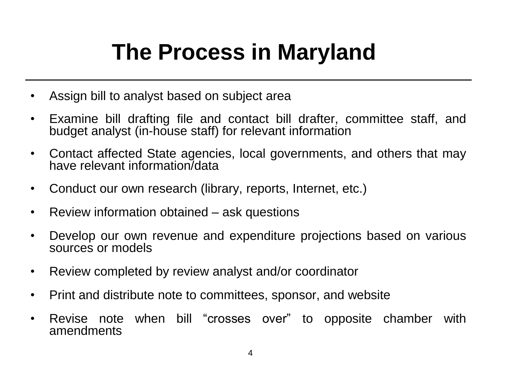### **The Process in Maryland**

- Assign bill to analyst based on subject area
- Examine bill drafting file and contact bill drafter, committee staff, and budget analyst (in-house staff) for relevant information
- Contact affected State agencies, local governments, and others that may have relevant information/data
- Conduct our own research (library, reports, Internet, etc.)
- Review information obtained ask questions
- Develop our own revenue and expenditure projections based on various sources or models
- Review completed by review analyst and/or coordinator
- Print and distribute note to committees, sponsor, and website
- Revise note when bill "crosses over" to opposite chamber with amendments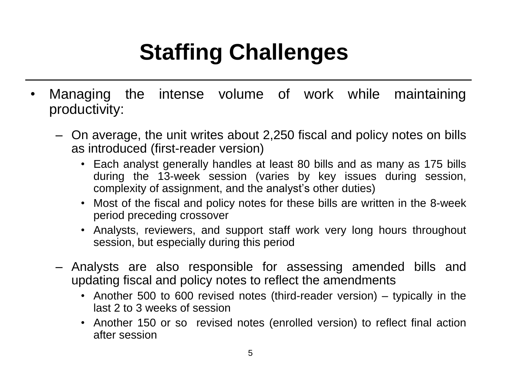# **Staffing Challenges**

- Managing the intense volume of work while maintaining productivity:
	- On average, the unit writes about 2,250 fiscal and policy notes on bills as introduced (first-reader version)
		- Each analyst generally handles at least 80 bills and as many as 175 bills during the 13-week session (varies by key issues during session, complexity of assignment, and the analyst's other duties)
		- Most of the fiscal and policy notes for these bills are written in the 8-week period preceding crossover
		- Analysts, reviewers, and support staff work very long hours throughout session, but especially during this period
	- Analysts are also responsible for assessing amended bills and updating fiscal and policy notes to reflect the amendments
		- Another 500 to 600 revised notes (third-reader version) typically in the last 2 to 3 weeks of session
		- Another 150 or so revised notes (enrolled version) to reflect final action after session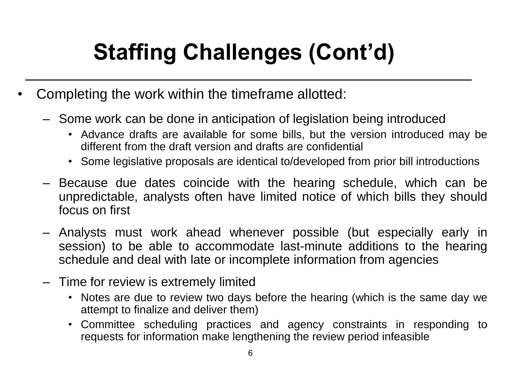# **Staffing Challenges (Cont'd)**

- Completing the work within the timeframe allotted:
	- Some work can be done in anticipation of legislation being introduced
		- Advance drafts are available for some bills, but the version introduced may be different from the draft version and drafts are confidential
		- Some legislative proposals are identical to/developed from prior bill introductions
	- Because due dates coincide with the hearing schedule, which can be unpredictable, analysts often have limited notice of which bills they should focus on first
	- Analysts must work ahead whenever possible (but especially early in session) to be able to accommodate last-minute additions to the hearing schedule and deal with late or incomplete information from agencies
	- Time for review is extremely limited
		- Notes are due to review two days before the hearing (which is the same day we attempt to finalize and deliver them)
		- Committee scheduling practices and agency constraints in responding to requests for information make lengthening the review period infeasible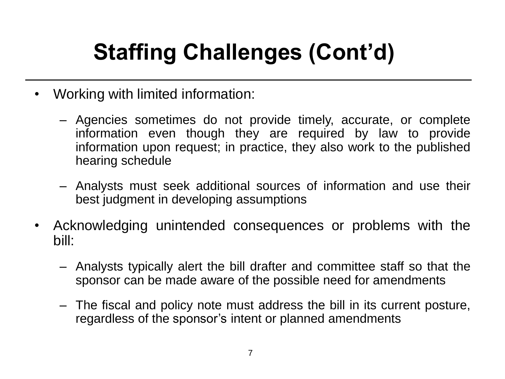# **Staffing Challenges (Cont'd)**

- Working with limited information:
	- Agencies sometimes do not provide timely, accurate, or complete information even though they are required by law to provide information upon request; in practice, they also work to the published hearing schedule
	- Analysts must seek additional sources of information and use their best judgment in developing assumptions
- Acknowledging unintended consequences or problems with the bill:
	- Analysts typically alert the bill drafter and committee staff so that the sponsor can be made aware of the possible need for amendments
	- The fiscal and policy note must address the bill in its current posture, regardless of the sponsor's intent or planned amendments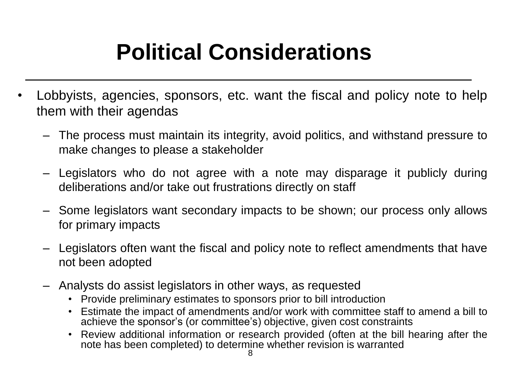### **Political Considerations**

- Lobbyists, agencies, sponsors, etc. want the fiscal and policy note to help them with their agendas
	- The process must maintain its integrity, avoid politics, and withstand pressure to make changes to please a stakeholder
	- Legislators who do not agree with a note may disparage it publicly during deliberations and/or take out frustrations directly on staff
	- Some legislators want secondary impacts to be shown; our process only allows for primary impacts
	- Legislators often want the fiscal and policy note to reflect amendments that have not been adopted
	- Analysts do assist legislators in other ways, as requested
		- Provide preliminary estimates to sponsors prior to bill introduction
		- Estimate the impact of amendments and/or work with committee staff to amend a bill to achieve the sponsor's (or committee's) objective, given cost constraints
		- Review additional information or research provided (often at the bill hearing after the note has been completed) to determine whether revision is warranted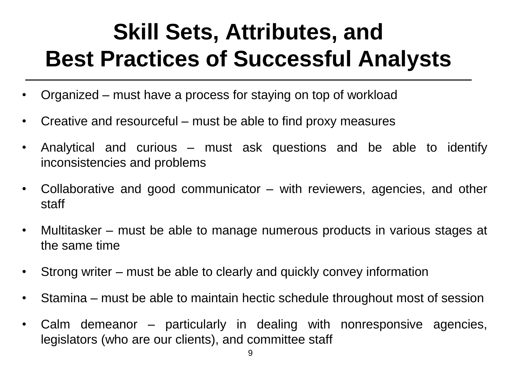### **Skill Sets, Attributes, and Best Practices of Successful Analysts**

- Organized must have a process for staying on top of workload
- Creative and resourceful must be able to find proxy measures
- Analytical and curious must ask questions and be able to identify inconsistencies and problems
- Collaborative and good communicator with reviewers, agencies, and other staff
- Multitasker must be able to manage numerous products in various stages at the same time
- Strong writer must be able to clearly and quickly convey information
- Stamina must be able to maintain hectic schedule throughout most of session
- Calm demeanor particularly in dealing with nonresponsive agencies, legislators (who are our clients), and committee staff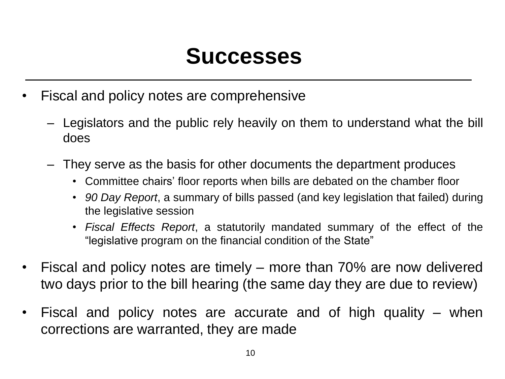#### **Successes**

- Fiscal and policy notes are comprehensive
	- Legislators and the public rely heavily on them to understand what the bill does
	- They serve as the basis for other documents the department produces
		- Committee chairs' floor reports when bills are debated on the chamber floor
		- *90 Day Report*, a summary of bills passed (and key legislation that failed) during the legislative session
		- *Fiscal Effects Report*, a statutorily mandated summary of the effect of the "legislative program on the financial condition of the State"
- Fiscal and policy notes are timely more than 70% are now delivered two days prior to the bill hearing (the same day they are due to review)
- Fiscal and policy notes are accurate and of high quality when corrections are warranted, they are made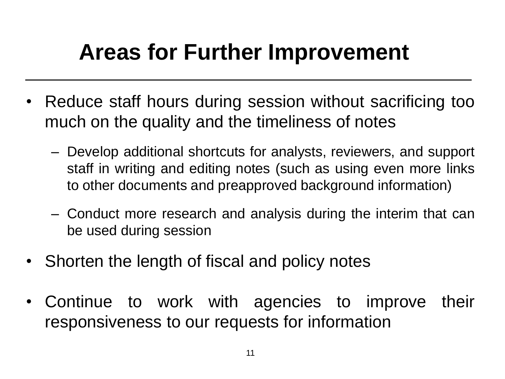### **Areas for Further Improvement**

- Reduce staff hours during session without sacrificing too much on the quality and the timeliness of notes
	- Develop additional shortcuts for analysts, reviewers, and support staff in writing and editing notes (such as using even more links to other documents and preapproved background information)
	- Conduct more research and analysis during the interim that can be used during session
- Shorten the length of fiscal and policy notes
- Continue to work with agencies to improve their responsiveness to our requests for information